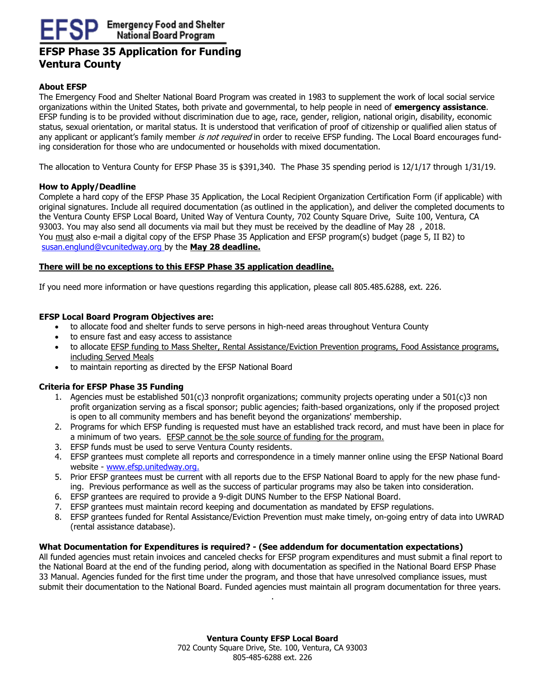# **EFSP Phase 35 Application for Funding Ventura County**

## **About EFSP**

The Emergency Food and Shelter National Board Program was created in 1983 to supplement the work of local social service organizations within the United States, both private and governmental, to help people in need of **emergency assistance**. EFSP funding is to be provided without discrimination due to age, race, gender, religion, national origin, disability, economic status, sexual orientation, or marital status. It is understood that verification of proof of citizenship or qualified alien status of any applicant or applicant's family member is not required in order to receive EFSP funding. The Local Board encourages funding consideration for those who are undocumented or households with mixed documentation.

The allocation to Ventura County for EFSP Phase 35 is \$391,340. The Phase 35 spending period is 12/1/17 through 1/31/19.

### **How to Apply/Deadline**

Complete a hard copy of the EFSP Phase 35 Application, the Local Recipient Organization Certification Form (if applicable) with original signatures. Include all required documentation (as outlined in the application), and deliver the completed documents to the Ventura County EFSP Local Board, United Way of Ventura County, 702 County Square Drive, Suite 100, Ventura, CA 93003. You may also send all documents via mail but they must be received by the deadline of May 28 , 2018. You must also e-mail a digital copy of the EFSP Phase 35 Application and EFSP program(s) budget (page 5, II B2) to [susan.englund@vcunitedway.org](mailto:susan.englund@vcunitedway.org) by the **May 28 deadline.**

#### **There will be no exceptions to this EFSP Phase 35 application deadline.**

If you need more information or have questions regarding this application, please call 805.485.6288, ext. 226.

### **EFSP Local Board Program Objectives are:**

- to allocate food and shelter funds to serve persons in high-need areas throughout Ventura County
- to ensure fast and easy access to assistance
- to allocate EFSP funding to Mass Shelter, Rental Assistance/Eviction Prevention programs, Food Assistance programs, including Served Meals
- to maintain reporting as directed by the EFSP National Board

## **Criteria for EFSP Phase 35 Funding**

- 1. Agencies must be established 501(c)3 nonprofit organizations; community projects operating under a 501(c)3 non profit organization serving as a fiscal sponsor; public agencies; faith-based organizations, only if the proposed project is open to all community members and has benefit beyond the organizations' membership.
- 2. Programs for which EFSP funding is requested must have an established track record, and must have been in place for a minimum of two years. EFSP cannot be the sole source of funding for the program.
- 3. EFSP funds must be used to serve Ventura County residents.
- 4. EFSP grantees must complete all reports and correspondence in a timely manner online using the EFSP National Board website - [www.efsp.unitedway.org.](http://www.efsp.unitedway.org/)
- 5. Prior EFSP grantees must be current with all reports due to the EFSP National Board to apply for the new phase funding. Previous performance as well as the success of particular programs may also be taken into consideration.
- 6. EFSP grantees are required to provide a 9-digit DUNS Number to the EFSP National Board.
- 7. EFSP grantees must maintain record keeping and documentation as mandated by EFSP regulations.
- 8. EFSP grantees funded for Rental Assistance/Eviction Prevention must make timely, on-going entry of data into UWRAD (rental assistance database).

#### **What Documentation for Expenditures is required? - (See addendum for documentation expectations)**

All funded agencies must retain invoices and canceled checks for EFSP program expenditures and must submit a final report to the National Board at the end of the funding period, along with documentation as specified in the National Board EFSP Phase 33 Manual. Agencies funded for the first time under the program, and those that have unresolved compliance issues, must submit their documentation to the National Board. Funded agencies must maintain all program documentation for three years.

.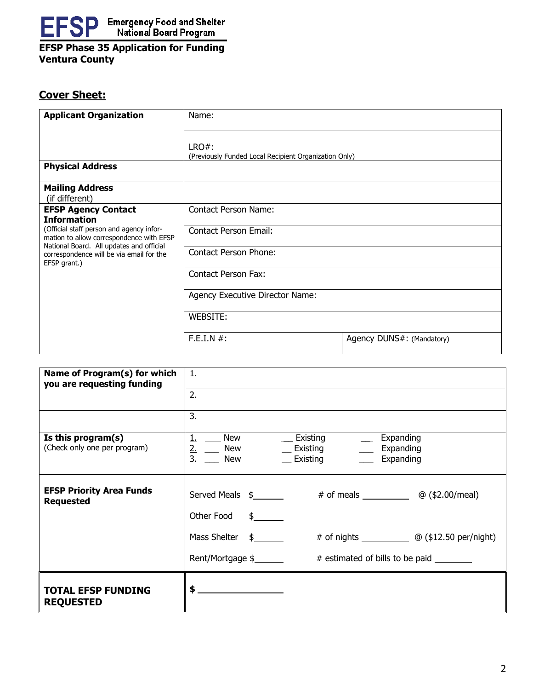

## **EFSP Phase 35 Application for Funding Ventura County**

# **Cover Sheet:**

| <b>Applicant Organization</b>                                                                        | Name:                                                          |                           |  |
|------------------------------------------------------------------------------------------------------|----------------------------------------------------------------|---------------------------|--|
|                                                                                                      | LRO#:<br>(Previously Funded Local Recipient Organization Only) |                           |  |
| <b>Physical Address</b>                                                                              |                                                                |                           |  |
| <b>Mailing Address</b><br>(if different)                                                             |                                                                |                           |  |
| <b>EFSP Agency Contact</b><br><b>Information</b>                                                     | Contact Person Name:                                           |                           |  |
| (Official staff person and agency infor-<br>mation to allow correspondence with EFSP                 | <b>Contact Person Email:</b>                                   |                           |  |
| National Board. All updates and official<br>correspondence will be via email for the<br>EFSP grant.) | <b>Contact Person Phone:</b>                                   |                           |  |
|                                                                                                      | Contact Person Fax:                                            |                           |  |
|                                                                                                      | Agency Executive Director Name:                                |                           |  |
|                                                                                                      | WEBSITE:                                                       |                           |  |
|                                                                                                      | F.E.I.N #:                                                     | Agency DUNS#: (Mandatory) |  |

| Name of Program(s) for which<br>you are requesting funding | 1.                                                                                                                                                                                         |
|------------------------------------------------------------|--------------------------------------------------------------------------------------------------------------------------------------------------------------------------------------------|
|                                                            | 2.                                                                                                                                                                                         |
|                                                            | $\overline{3}$ .                                                                                                                                                                           |
| Is this program(s)<br>(Check only one per program)         | New<br>$\equiv$ Existing<br>Expanding<br><u>1.</u><br>$\frac{1}{2}$ .<br>$\frac{2}{3}$ .<br>$\equiv$ Existing $\equiv$<br>New<br>Expanding<br><b>New</b><br>$\equiv$ Existing<br>Expanding |
| <b>EFSP Priority Area Funds</b><br><b>Requested</b>        | Served Meals \$<br>Other Food \$                                                                                                                                                           |
|                                                            | Mass Shelter $\frac{2}{3}$<br># of nights $\qquad \qquad \textcircled{a}$ (\$12.50 per/night)                                                                                              |
|                                                            | Rent/Mortgage \$<br># estimated of bills to be paid                                                                                                                                        |
| <b>TOTAL EFSP FUNDING</b><br><b>REQUESTED</b>              | \$                                                                                                                                                                                         |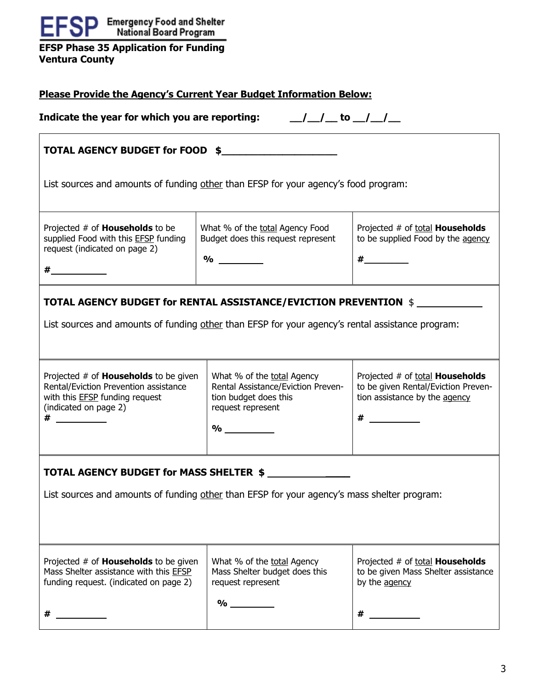| <b>EFSP</b> Emergency Food and Shelter                                                                                                                                                                                                                                                                                                                                           |                                                                                                                                                                             |                                                                                                                |  |  |  |  |
|----------------------------------------------------------------------------------------------------------------------------------------------------------------------------------------------------------------------------------------------------------------------------------------------------------------------------------------------------------------------------------|-----------------------------------------------------------------------------------------------------------------------------------------------------------------------------|----------------------------------------------------------------------------------------------------------------|--|--|--|--|
| <b>EFSP Phase 35 Application for Funding</b><br><b>Ventura County</b>                                                                                                                                                                                                                                                                                                            |                                                                                                                                                                             |                                                                                                                |  |  |  |  |
| <b>Please Provide the Agency's Current Year Budget Information Below:</b>                                                                                                                                                                                                                                                                                                        |                                                                                                                                                                             |                                                                                                                |  |  |  |  |
| Indicate the year for which you are reporting: $\frac{1}{\sqrt{1-\frac{1}{1-\frac{1}{1-\frac{1}{1-\frac{1}{1-\frac{1}{1-\frac{1}{1-\frac{1}{1-\frac{1}{1-\frac{1}{1-\frac{1}{1-\frac{1}{1-\frac{1}{1-\frac{1}{1-\frac{1}{1-\frac{1}{1-\frac{1}{1-\frac{1}{1-\frac{1}{1-\frac{1}{1-\frac{1}{1-\frac{1}{1-\frac{1}{1-\frac{1}{1-\frac{1}{1-\frac{1}{1-\frac{1}{1-\frac{1}{1-\frac$ |                                                                                                                                                                             |                                                                                                                |  |  |  |  |
| TOTAL AGENCY BUDGET for FOOD \$                                                                                                                                                                                                                                                                                                                                                  |                                                                                                                                                                             |                                                                                                                |  |  |  |  |
| List sources and amounts of funding other than EFSP for your agency's food program:                                                                                                                                                                                                                                                                                              |                                                                                                                                                                             |                                                                                                                |  |  |  |  |
| Projected # of <b>Households</b> to be<br>supplied Food with this <b>EFSP</b> funding<br>request (indicated on page 2)                                                                                                                                                                                                                                                           | What % of the total Agency Food<br>Budget does this request represent<br>$\%$                                                                                               | Projected # of total <b>Households</b><br>to be supplied Food by the agency<br>$\#$ and the set of $\#$        |  |  |  |  |
| $\#$ and the set of $\#$                                                                                                                                                                                                                                                                                                                                                         |                                                                                                                                                                             |                                                                                                                |  |  |  |  |
|                                                                                                                                                                                                                                                                                                                                                                                  | <b>TOTAL AGENCY BUDGET for RENTAL ASSISTANCE/EVICTION PREVENTION \$</b><br>List sources and amounts of funding other than EFSP for your agency's rental assistance program: |                                                                                                                |  |  |  |  |
| Projected # of <b>Households</b> to be given<br>Rental/Eviction Prevention assistance<br>with this <b>EFSP</b> funding request<br>(indicated on page 2)                                                                                                                                                                                                                          | What % of the total Agency<br>Rental Assistance/Eviction Preven-<br>tion budget does this<br>request represent<br>$\%$                                                      | Projected # of total <b>Households</b><br>to be given Rental/Eviction Preven-<br>tion assistance by the agency |  |  |  |  |
|                                                                                                                                                                                                                                                                                                                                                                                  | TOTAL AGENCY BUDGET for MASS SHELTER \$                                                                                                                                     |                                                                                                                |  |  |  |  |
|                                                                                                                                                                                                                                                                                                                                                                                  | List sources and amounts of funding other than EFSP for your agency's mass shelter program:                                                                                 |                                                                                                                |  |  |  |  |
|                                                                                                                                                                                                                                                                                                                                                                                  |                                                                                                                                                                             |                                                                                                                |  |  |  |  |
| Projected # of <b>Households</b> to be given<br>Mass Shelter assistance with this EFSP<br>funding request. (indicated on page 2)                                                                                                                                                                                                                                                 | What % of the total Agency<br>Mass Shelter budget does this<br>request represent                                                                                            | Projected # of total <b>Households</b><br>to be given Mass Shelter assistance<br>by the agency                 |  |  |  |  |
|                                                                                                                                                                                                                                                                                                                                                                                  | $\frac{1}{2}$                                                                                                                                                               |                                                                                                                |  |  |  |  |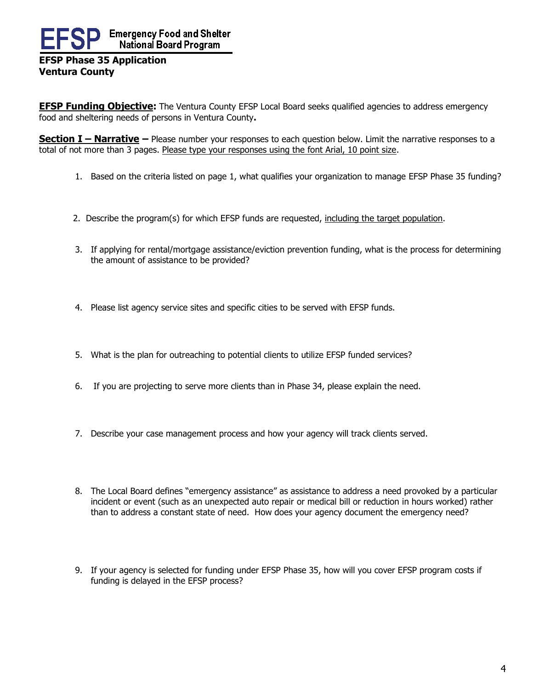# **Emergency Food and Shelter** National Board Program **EFSP Phase 35 Application**

# **Ventura County**

**EFSP Funding Objective:** The Ventura County EFSP Local Board seeks qualified agencies to address emergency food and sheltering needs of persons in Ventura County**.**

**Section I – Narrative –** Please number your responses to each question below. Limit the narrative responses to a total of not more than 3 pages. Please type your responses using the font Arial, 10 point size.

- 1. Based on the criteria listed on page 1, what qualifies your organization to manage EFSP Phase 35 funding?
- 2. 2. Describe the program(s) for which EFSP funds are requested, including the target population.
- 3. If applying for rental/mortgage assistance/eviction prevention funding, what is the process for determining the amount of assistance to be provided?
- 4. Please list agency service sites and specific cities to be served with EFSP funds.
- 5. What is the plan for outreaching to potential clients to utilize EFSP funded services?
- 6. If you are projecting to serve more clients than in Phase 34, please explain the need.
- 7. Describe your case management process and how your agency will track clients served.
- 8. The Local Board defines "emergency assistance" as assistance to address a need provoked by a particular incident or event (such as an unexpected auto repair or medical bill or reduction in hours worked) rather than to address a constant state of need. How does your agency document the emergency need?
- 9. If your agency is selected for funding under EFSP Phase 35, how will you cover EFSP program costs if funding is delayed in the EFSP process?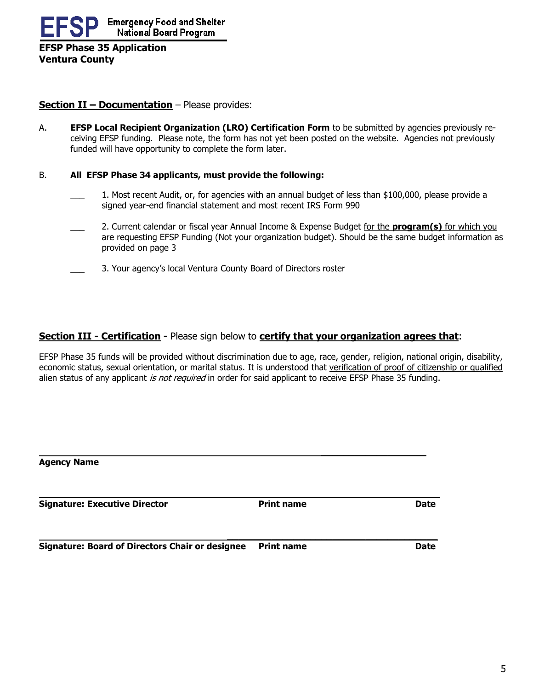**EFSP Phase 35 Application Ventura County**

## **Section II – Documentation** – Please provides:

A. **EFSP Local Recipient Organization (LRO) Certification Form** to be submitted by agencies previously receiving EFSP funding. Please note, the form has not yet been posted on the website. Agencies not previously funded will have opportunity to complete the form later.

## B. **All EFSP Phase 34 applicants, must provide the following:**

- 1. Most recent Audit, or, for agencies with an annual budget of less than \$100,000, please provide a signed year-end financial statement and most recent IRS Form 990
- \_\_\_ 2. Current calendar or fiscal year Annual Income & Expense Budget for the **program(s)** for which you are requesting EFSP Funding (Not your organization budget). Should be the same budget information as provided on page 3
	- 3. Your agency's local Ventura County Board of Directors roster

## **Section III - Certification -** Please sign below to **certify that your organization agrees that**:

EFSP Phase 35 funds will be provided without discrimination due to age, race, gender, religion, national origin, disability, economic status, sexual orientation, or marital status. It is understood that verification of proof of citizenship or qualified alien status of any applicant *is not required* in order for said applicant to receive EFSP Phase 35 funding.

**\_\_\_\_\_\_\_\_\_\_\_\_\_\_\_\_\_\_\_**

| <b>Agency Name</b>                                     |                   |             |  |  |
|--------------------------------------------------------|-------------------|-------------|--|--|
| <b>Signature: Executive Director</b>                   | <b>Print name</b> | <b>Date</b> |  |  |
| <b>Signature: Board of Directors Chair or designee</b> | <b>Print name</b> | <b>Date</b> |  |  |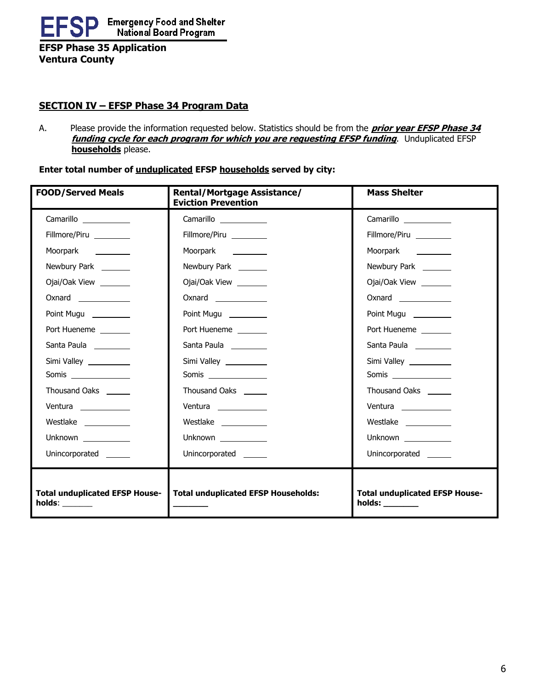

**EFSP Phase 35 Application Ventura County**

## **SECTION IV – EFSP Phase 34 Program Data**

A. Please provide the information requested below. Statistics should be from the **prior year EFSP Phase 34 funding cycle for each program for which you are requesting EFSP funding**. Unduplicated EFSP **households** please.

**Enter total number of unduplicated EFSP households served by city:**

| <b>FOOD/Served Meals</b>              | <b>Rental/Mortgage Assistance/</b><br><b>Eviction Prevention</b> | <b>Mass Shelter</b>                                    |
|---------------------------------------|------------------------------------------------------------------|--------------------------------------------------------|
| Camarillo                             | Camarillo                                                        | Camarillo                                              |
| Fillmore/Piru                         | Fillmore/Piru                                                    | Fillmore/Piru                                          |
| Moorpark <u>_____________</u>         | Moorpark <u>____________</u>                                     | Moorpark __________                                    |
| Newbury Park _______                  | Newbury Park _______                                             | Newbury Park _______                                   |
| Ojai/Oak View _______                 | Ojai/Oak View ________                                           | Ojai/Oak View ________                                 |
| <b>Oxnard Community</b>               | Oxnard                                                           | Oxnard                                                 |
| Point Mugu ________                   | Point Mugu ________                                              | Point Mugu _________                                   |
| Port Hueneme                          | Port Hueneme                                                     | Port Hueneme                                           |
| Santa Paula                           | Santa Paula                                                      | Santa Paula _________                                  |
| Simi Valley                           | Simi Valley _________                                            | Simi Valley __________                                 |
|                                       |                                                                  |                                                        |
| Thousand Oaks ______                  | Thousand Oaks ______                                             | Thousand Oaks ______                                   |
| Ventura ____________                  | Ventura ____________                                             | Ventura _____________                                  |
| Westlake ____________                 | Westlake ____________                                            | Westlake ____________                                  |
| Unknown ___________                   | Unknown ____________                                             | Unknown ____________                                   |
| Unincorporated                        | Unincorporated ______                                            | Unincorporated                                         |
| <b>Total unduplicated EFSP House-</b> | <b>Total unduplicated EFSP Households:</b>                       | <b>Total unduplicated EFSP House-</b><br>$holds: \_\_$ |